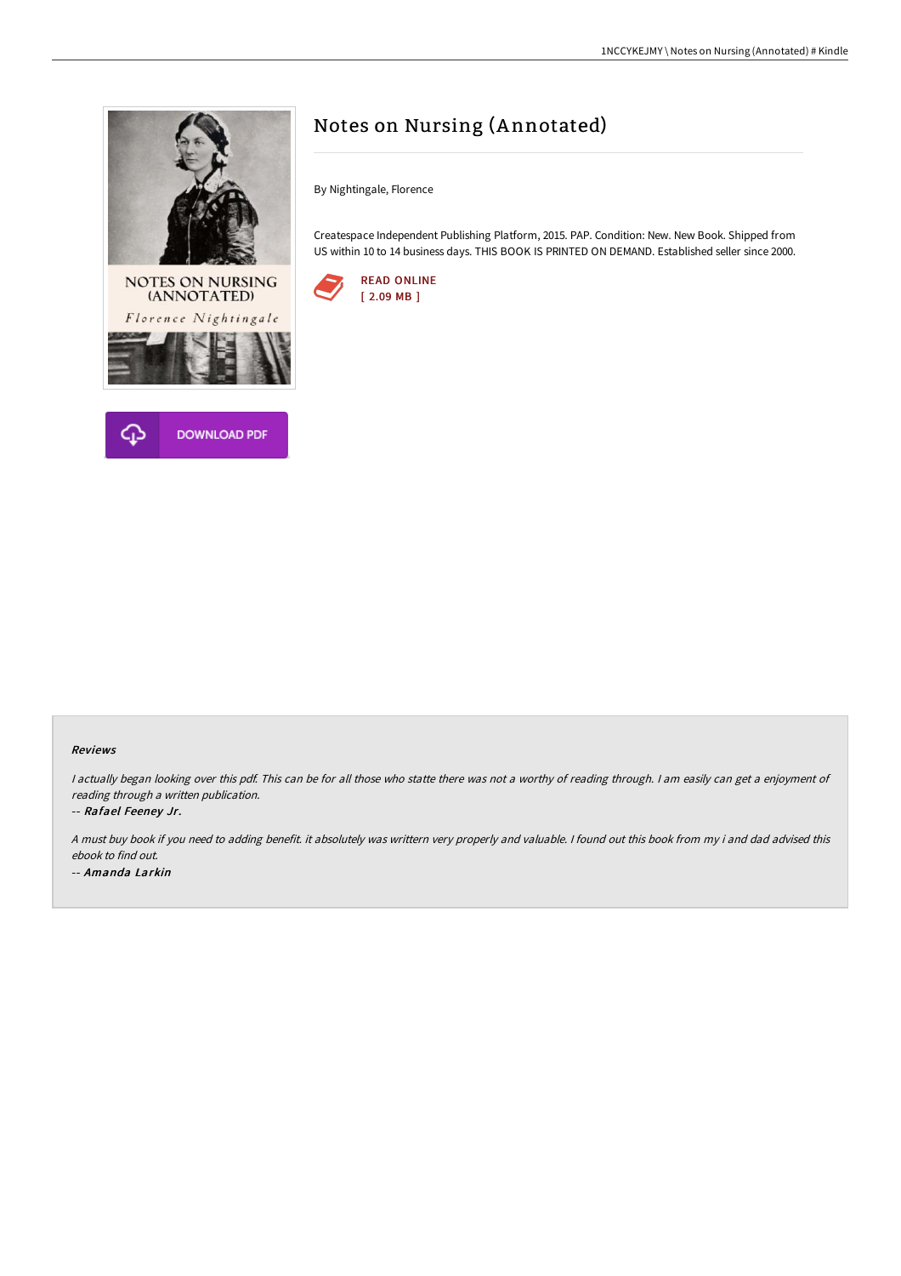



# Notes on Nursing (Annotated)

By Nightingale, Florence

Createspace Independent Publishing Platform, 2015. PAP. Condition: New. New Book. Shipped from US within 10 to 14 business days. THIS BOOK IS PRINTED ON DEMAND. Established seller since 2000.



#### Reviews

I actually began looking over this pdf. This can be for all those who statte there was not a worthy of reading through. I am easily can get a enjoyment of reading through <sup>a</sup> written publication.

-- Rafael Feeney Jr.

<sup>A</sup> must buy book if you need to adding benefit. it absolutely was writtern very properly and valuable. <sup>I</sup> found out this book from my i and dad advised this ebook to find out. -- Amanda Larkin